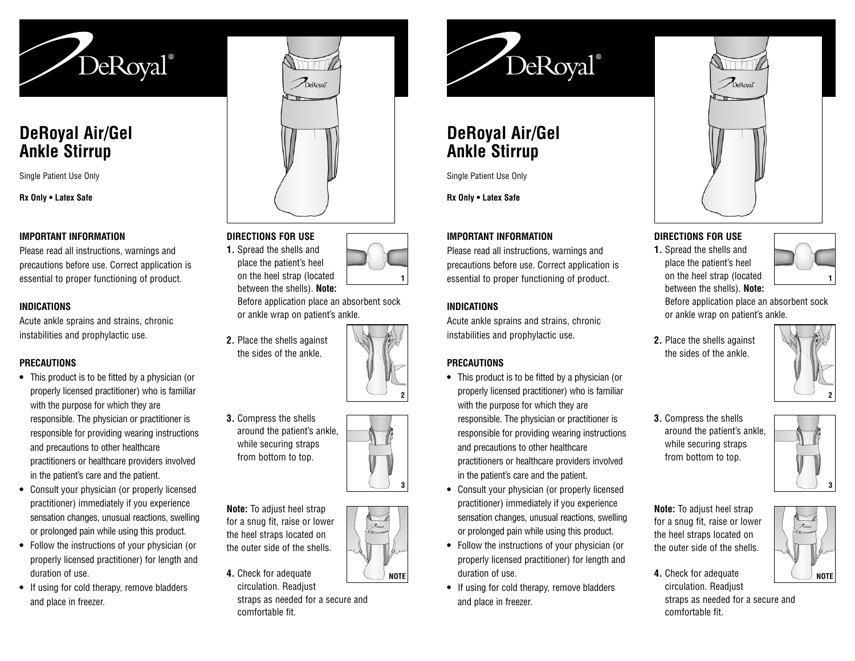

# **DeRoyal Air/Gel Ankle Stirrup**

Single Patient Use Only

**Rx Only • Latex Safe**

#### **IMPORTANT INFORMATION**

Please read all instructions, warnings and precautions before use. Correct application is essential to proper functioning of product.

### **INDICATIONS**

Acute ankle sprains and strains, chronic instabilities and prophylactic use.

# **PRECAUTIONS**

- **•** This product is to be fitted by a physician (or properly licensed practitioner) who is familiar with the purpose for which they are responsible. The physician or practitioner is responsible for providing wearing instructions and precautions to other healthcare practitioners or healthcare providers involved in the patient's care and the patient.
- **•** Consult your physician (or properly licensed practitioner) immediately if you experience sensation changes, unusual reactions, swelling or prolonged pain while using this product.
- **•** Follow the instructions of your physician (or properly licensed practitioner) for length and duration of use.
- **•** If using for cold therapy, remove bladders and place in freezer.



## **DIRECTIONS FOR USE**

**1.** Spread the shells and place the patient's heel on the heel strap (I

| 1 U U I  |  |  |
|----------|--|--|
| ocated   |  |  |
| ). Note: |  |  |
|          |  |  |

Before application place an absorbent sock or ankle wrap on patient's ankle.

**2.** Place the shells against the sides of the ankle.

between the shells<sup>?</sup>



**1**

**3.** Compress the shells around the patient's ankle, while securing straps from bottom to top.

**Note:** To adjust heel strap for a snug fit, raise or lower the heel straps located on the outer side of the shells.

**4.** Check for adequate circulation. Readjust

straps as needed for a secure and comfortable fit.



# **DeRoyal Air/Gel Ankle Stirrup**

Single Patient Use Only

**Rx Only • Latex Safe**

#### **IMPORTANT INFORMATION**

Please read all instructions, warnings and precautions before use. Correct application is essential to proper functioning of product.

#### **INDICATIONS**

Acute ankle sprains and strains, chronic instabilities and prophylactic use.

### **PRECAUTIONS**

- **•** This product is to be fitted by a physician (or properly licensed practitioner) who is familiar with the purpose for which they are responsible. The physician or practitioner is responsible for providing wearing instructions and precautions to other healthcare practitioners or healthcare providers involved in the patient's care and the patient.
- **•** Consult your physician (or properly licensed practitioner) immediately if you experience sensation changes, unusual reactions, swelling or prolonged pain while using this product.
- **•** Follow the instructions of your physician (or properly licensed practitioner) for length and duration of use.
- **•** If using for cold therapy, remove bladders and place in freezer.



# **DIRECTIONS FOR USE**

**1.** Spread the shells and place the patient's heel on the heel strap (located between the shells). **Note:**

**1**

Before application place an absorbent sock or ankle wrap on patient's ankle.

**2.** Place the shells against the sides of the ankle.



**3.** Compress the shells around the patient's ankle, while securing straps from bottom to top.



**NOTE**

**Note:** To adjust heel strap for a snug fit, raise or lower the heel straps located on the outer side of the shells.

**4.** Check for adequate circulation. Readjust straps as needed for a secure and comfortable fit.